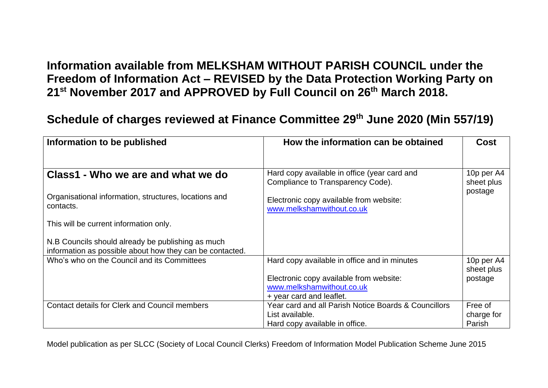## **Information available from MELKSHAM WITHOUT PARISH COUNCIL under the Freedom of Information Act – REVISED by the Data Protection Working Party on 21st November 2017 and APPROVED by Full Council on 26th March 2018.**

## **Schedule of charges reviewed at Finance Committee 29th June 2020 (Min 557/19)**

| Information to be published                                                                                   | How the information can be obtained                                               | Cost                     |
|---------------------------------------------------------------------------------------------------------------|-----------------------------------------------------------------------------------|--------------------------|
|                                                                                                               |                                                                                   |                          |
| Class1 - Who we are and what we do                                                                            | Hard copy available in office (year card and<br>Compliance to Transparency Code). | 10p per A4<br>sheet plus |
| Organisational information, structures, locations and<br>contacts.                                            | Electronic copy available from website:<br>www.melkshamwithout.co.uk              | postage                  |
| This will be current information only.                                                                        |                                                                                   |                          |
| N.B Councils should already be publishing as much<br>information as possible about how they can be contacted. |                                                                                   |                          |
| Who's who on the Council and its Committees                                                                   | Hard copy available in office and in minutes                                      | 10p per A4<br>sheet plus |
|                                                                                                               | Electronic copy available from website:<br>www.melkshamwithout.co.uk              | postage                  |
|                                                                                                               | + year card and leaflet.                                                          |                          |
| <b>Contact details for Clerk and Council members</b>                                                          | Year card and all Parish Notice Boards & Councillors                              | Free of                  |
|                                                                                                               | List available.                                                                   | charge for               |
|                                                                                                               | Hard copy available in office.                                                    | Parish                   |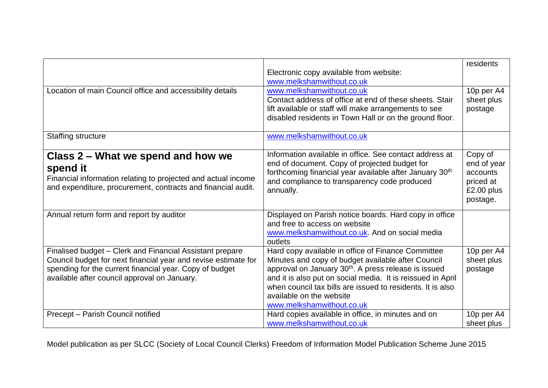|                                                                                                                                                                                                                                       | Electronic copy available from website:<br>www.melkshamwithout.co.uk                                                                                                                                                                                                                                                                                               | residents                                                                   |
|---------------------------------------------------------------------------------------------------------------------------------------------------------------------------------------------------------------------------------------|--------------------------------------------------------------------------------------------------------------------------------------------------------------------------------------------------------------------------------------------------------------------------------------------------------------------------------------------------------------------|-----------------------------------------------------------------------------|
| Location of main Council office and accessibility details                                                                                                                                                                             | www.melkshamwithout.co.uk<br>Contact address of office at end of these sheets. Stair<br>lift available or staff will make arrangements to see<br>disabled residents in Town Hall or on the ground floor.                                                                                                                                                           | 10p per A4<br>sheet plus<br>postage                                         |
| <b>Staffing structure</b>                                                                                                                                                                                                             | www.melkshamwithout.co.uk                                                                                                                                                                                                                                                                                                                                          |                                                                             |
| Class 2 – What we spend and how we<br>spend it<br>Financial information relating to projected and actual income<br>and expenditure, procurement, contracts and financial audit.                                                       | Information available in office. See contact address at<br>end of document. Copy of projected budget for<br>forthcoming financial year available after January 30 <sup>th</sup><br>and compliance to transparency code produced<br>annually.                                                                                                                       | Copy of<br>end of year<br>accounts<br>priced at<br>$£2.00$ plus<br>postage. |
| Annual return form and report by auditor                                                                                                                                                                                              | Displayed on Parish notice boards. Hard copy in office<br>and free to access on website<br>www.melkshamwithout.co.uk. And on social media<br>outlets                                                                                                                                                                                                               |                                                                             |
| Finalised budget - Clerk and Financial Assistant prepare<br>Council budget for next financial year and revise estimate for<br>spending for the current financial year. Copy of budget<br>available after council approval on January. | Hard copy available in office of Finance Committee<br>Minutes and copy of budget available after Council<br>approval on January 30 <sup>th</sup> . A press release is issued<br>and it is also put on social media. It is reissued in April<br>when council tax bills are issued to residents. It is also<br>available on the website<br>www.melkshamwithout.co.uk | 10p per A4<br>sheet plus<br>postage                                         |
| Precept - Parish Council notified                                                                                                                                                                                                     | Hard copies available in office, in minutes and on<br>www.melkshamwithout.co.uk                                                                                                                                                                                                                                                                                    | 10p per A4<br>sheet plus                                                    |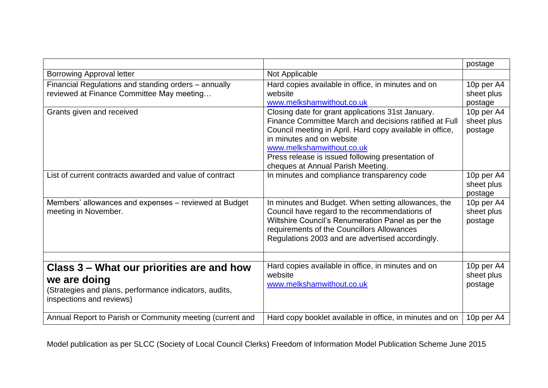|                                                           |                                                                                       | postage                  |
|-----------------------------------------------------------|---------------------------------------------------------------------------------------|--------------------------|
| <b>Borrowing Approval letter</b>                          | Not Applicable                                                                        |                          |
| Financial Regulations and standing orders - annually      | Hard copies available in office, in minutes and on                                    | 10p per A4               |
| reviewed at Finance Committee May meeting                 | website                                                                               | sheet plus               |
|                                                           | www.melkshamwithout.co.uk                                                             | postage                  |
| Grants given and received                                 | Closing date for grant applications 31st January.                                     | 10p per A4               |
|                                                           | Finance Committee March and decisions ratified at Full                                | sheet plus               |
|                                                           | Council meeting in April. Hard copy available in office,<br>in minutes and on website | postage                  |
|                                                           | www.melkshamwithout.co.uk                                                             |                          |
|                                                           | Press release is issued following presentation of                                     |                          |
|                                                           | cheques at Annual Parish Meeting.                                                     |                          |
| List of current contracts awarded and value of contract   | In minutes and compliance transparency code                                           | 10p per A4               |
|                                                           |                                                                                       | sheet plus               |
|                                                           |                                                                                       | postage                  |
| Members' allowances and expenses - reviewed at Budget     | In minutes and Budget. When setting allowances, the                                   | 10p per A4               |
| meeting in November.                                      | Council have regard to the recommendations of                                         | sheet plus               |
|                                                           | Wiltshire Council's Renumeration Panel as per the                                     | postage                  |
|                                                           | requirements of the Councillors Allowances                                            |                          |
|                                                           | Regulations 2003 and are advertised accordingly.                                      |                          |
|                                                           |                                                                                       |                          |
|                                                           |                                                                                       |                          |
| Class 3 – What our priorities are and how                 | Hard copies available in office, in minutes and on<br>website                         | 10p per A4<br>sheet plus |
| we are doing                                              | www.melkshamwithout.co.uk                                                             | postage                  |
| (Strategies and plans, performance indicators, audits,    |                                                                                       |                          |
| inspections and reviews)                                  |                                                                                       |                          |
|                                                           |                                                                                       |                          |
| Annual Report to Parish or Community meeting (current and | Hard copy booklet available in office, in minutes and on                              | 10p per A4               |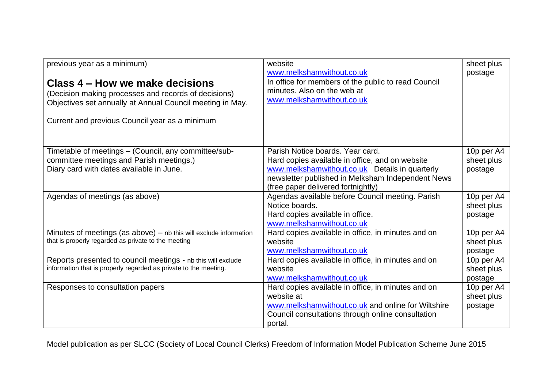| previous year as a minimum)                                       | website                                             | sheet plus |
|-------------------------------------------------------------------|-----------------------------------------------------|------------|
|                                                                   | www.melkshamwithout.co.uk                           | postage    |
| Class 4 – How we make decisions                                   | In office for members of the public to read Council |            |
| (Decision making processes and records of decisions)              | minutes. Also on the web at                         |            |
| Objectives set annually at Annual Council meeting in May.         | www.melkshamwithout.co.uk                           |            |
|                                                                   |                                                     |            |
| Current and previous Council year as a minimum                    |                                                     |            |
|                                                                   |                                                     |            |
|                                                                   |                                                     |            |
| Timetable of meetings - (Council, any committee/sub-              | Parish Notice boards. Year card.                    | 10p per A4 |
| committee meetings and Parish meetings.)                          | Hard copies available in office, and on website     | sheet plus |
| Diary card with dates available in June.                          | www.melkshamwithout.co.uk Details in quarterly      | postage    |
|                                                                   | newsletter published in Melksham Independent News   |            |
|                                                                   | (free paper delivered fortnightly)                  |            |
| Agendas of meetings (as above)                                    | Agendas available before Council meeting. Parish    | 10p per A4 |
|                                                                   | Notice boards.                                      | sheet plus |
|                                                                   | Hard copies available in office.                    | postage    |
|                                                                   | www.melkshamwithout.co.uk                           |            |
| Minutes of meetings (as above) - nb this will exclude information | Hard copies available in office, in minutes and on  | 10p per A4 |
| that is properly regarded as private to the meeting               | website                                             | sheet plus |
|                                                                   | www.melkshamwithout.co.uk                           | postage    |
| Reports presented to council meetings - nb this will exclude      | Hard copies available in office, in minutes and on  | 10p per A4 |
| information that is properly regarded as private to the meeting.  | website                                             | sheet plus |
|                                                                   | www.melkshamwithout.co.uk                           | postage    |
| Responses to consultation papers                                  | Hard copies available in office, in minutes and on  | 10p per A4 |
|                                                                   | website at                                          | sheet plus |
|                                                                   | www.melkshamwithout.co.uk and online for Wiltshire  | postage    |
|                                                                   | Council consultations through online consultation   |            |
|                                                                   | portal.                                             |            |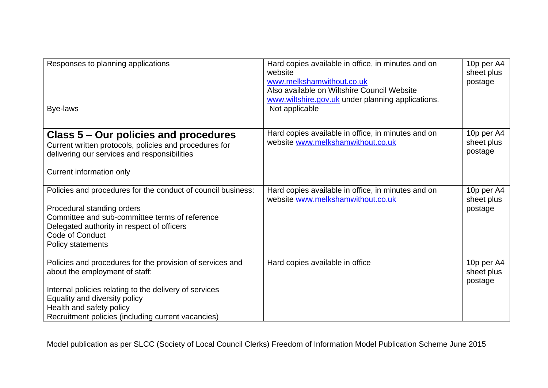| Responses to planning applications                                                                                                                                                                                                                                       | Hard copies available in office, in minutes and on<br>website<br>www.melkshamwithout.co.uk<br>Also available on Wiltshire Council Website<br>www.wiltshire.gov.uk under planning applications. | 10p per A4<br>sheet plus<br>postage |
|--------------------------------------------------------------------------------------------------------------------------------------------------------------------------------------------------------------------------------------------------------------------------|------------------------------------------------------------------------------------------------------------------------------------------------------------------------------------------------|-------------------------------------|
| Bye-laws                                                                                                                                                                                                                                                                 | Not applicable                                                                                                                                                                                 |                                     |
| Class 5 – Our policies and procedures<br>Current written protocols, policies and procedures for<br>delivering our services and responsibilities<br>Current information only                                                                                              | Hard copies available in office, in minutes and on<br>website www.melkshamwithout.co.uk                                                                                                        | 10p per A4<br>sheet plus<br>postage |
| Policies and procedures for the conduct of council business:<br>Procedural standing orders<br>Committee and sub-committee terms of reference<br>Delegated authority in respect of officers<br>Code of Conduct<br><b>Policy statements</b>                                | Hard copies available in office, in minutes and on<br>website www.melkshamwithout.co.uk                                                                                                        | 10p per A4<br>sheet plus<br>postage |
| Policies and procedures for the provision of services and<br>about the employment of staff:<br>Internal policies relating to the delivery of services<br>Equality and diversity policy<br>Health and safety policy<br>Recruitment policies (including current vacancies) | Hard copies available in office                                                                                                                                                                | 10p per A4<br>sheet plus<br>postage |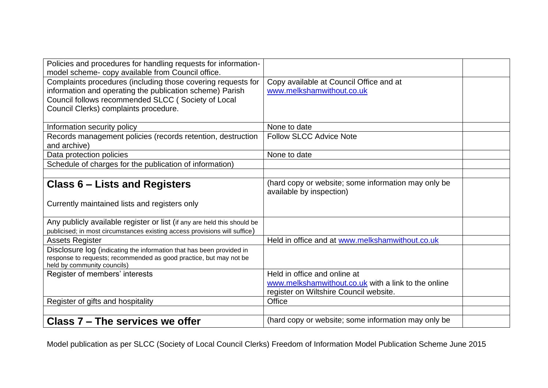| Policies and procedures for handling requests for information-<br>model scheme- copy available from Council office.                                                                                                     |                                                                                               |  |
|-------------------------------------------------------------------------------------------------------------------------------------------------------------------------------------------------------------------------|-----------------------------------------------------------------------------------------------|--|
| Complaints procedures (including those covering requests for<br>information and operating the publication scheme) Parish<br>Council follows recommended SLCC (Society of Local<br>Council Clerks) complaints procedure. | Copy available at Council Office and at<br>www.melkshamwithout.co.uk                          |  |
| Information security policy                                                                                                                                                                                             | None to date                                                                                  |  |
| Records management policies (records retention, destruction<br>and archive)                                                                                                                                             | <b>Follow SLCC Advice Note</b>                                                                |  |
| Data protection policies                                                                                                                                                                                                | None to date                                                                                  |  |
| Schedule of charges for the publication of information)                                                                                                                                                                 |                                                                                               |  |
|                                                                                                                                                                                                                         |                                                                                               |  |
| Class 6 – Lists and Registers                                                                                                                                                                                           | (hard copy or website; some information may only be<br>available by inspection)               |  |
| Currently maintained lists and registers only                                                                                                                                                                           |                                                                                               |  |
| Any publicly available register or list (if any are held this should be                                                                                                                                                 |                                                                                               |  |
| publicised; in most circumstances existing access provisions will suffice)                                                                                                                                              |                                                                                               |  |
| <b>Assets Register</b>                                                                                                                                                                                                  | Held in office and at www.melkshamwithout.co.uk                                               |  |
| Disclosure log (indicating the information that has been provided in<br>response to requests; recommended as good practice, but may not be<br>held by community councils)                                               |                                                                                               |  |
| Register of members' interests                                                                                                                                                                                          | Held in office and online at                                                                  |  |
|                                                                                                                                                                                                                         | www.melkshamwithout.co.uk with a link to the online<br>register on Wiltshire Council website. |  |
| Register of gifts and hospitality                                                                                                                                                                                       | Office                                                                                        |  |
|                                                                                                                                                                                                                         |                                                                                               |  |
| Class 7 – The services we offer                                                                                                                                                                                         | (hard copy or website; some information may only be                                           |  |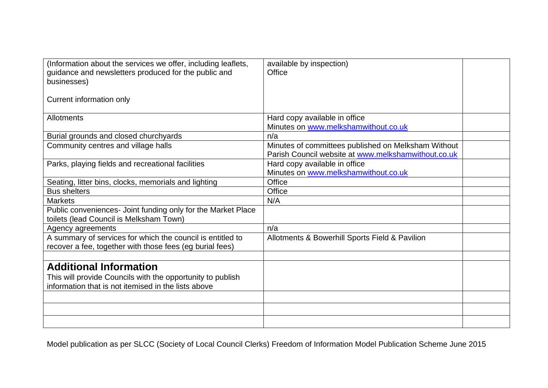| (Information about the services we offer, including leaflets,<br>guidance and newsletters produced for the public and<br>businesses) | available by inspection)<br>Office                  |  |
|--------------------------------------------------------------------------------------------------------------------------------------|-----------------------------------------------------|--|
| Current information only                                                                                                             |                                                     |  |
| Allotments                                                                                                                           | Hard copy available in office                       |  |
|                                                                                                                                      | Minutes on www.melkshamwithout.co.uk                |  |
| Burial grounds and closed churchyards                                                                                                | n/a                                                 |  |
| Community centres and village halls                                                                                                  | Minutes of committees published on Melksham Without |  |
|                                                                                                                                      | Parish Council website at www.melkshamwithout.co.uk |  |
| Parks, playing fields and recreational facilities                                                                                    | Hard copy available in office                       |  |
|                                                                                                                                      | Minutes on www.melkshamwithout.co.uk                |  |
| Seating, litter bins, clocks, memorials and lighting                                                                                 | <b>Office</b>                                       |  |
| <b>Bus shelters</b>                                                                                                                  | Office                                              |  |
| <b>Markets</b>                                                                                                                       | N/A                                                 |  |
| Public conveniences- Joint funding only for the Market Place<br>toilets (lead Council is Melksham Town)                              |                                                     |  |
| Agency agreements                                                                                                                    | n/a                                                 |  |
| A summary of services for which the council is entitled to<br>recover a fee, together with those fees (eg burial fees)               | Allotments & Bowerhill Sports Field & Pavilion      |  |
| <b>Additional Information</b>                                                                                                        |                                                     |  |
| This will provide Councils with the opportunity to publish                                                                           |                                                     |  |
| information that is not itemised in the lists above                                                                                  |                                                     |  |
|                                                                                                                                      |                                                     |  |
|                                                                                                                                      |                                                     |  |
|                                                                                                                                      |                                                     |  |